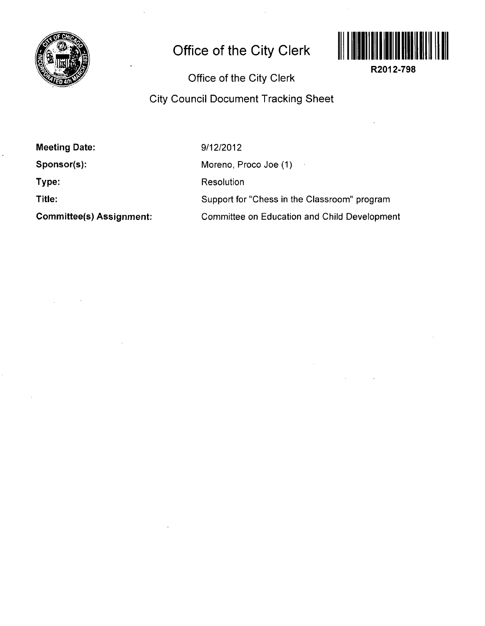

## **Office of the City Clerk**



**R2012-798** 

**Office of the City Clerk** 

**City Council Document Tracking Sheet** 

| <b>Meeting Date:</b>            |
|---------------------------------|
| Sponsor(s):                     |
| Type:                           |
| Title:                          |
| <b>Committee(s) Assignment:</b> |

9/12/2012 Moreno, Proco Joe (1) Resolution Support for "Chess in the Classroom" program Committee on Education and Child Development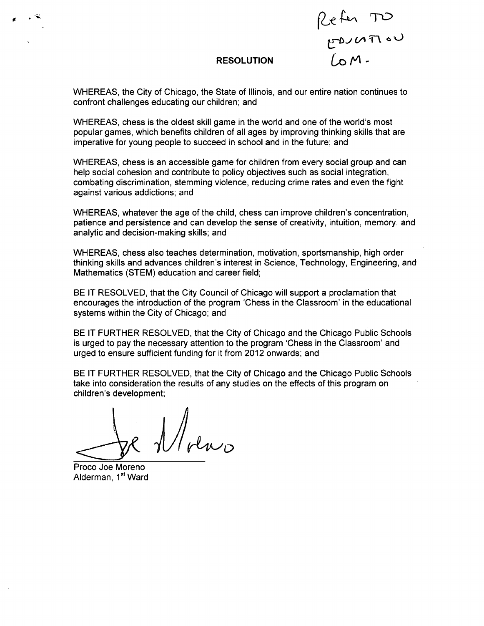${\mathcal T}$ RESOLUTION LO M -

WHEREAS, the City of Chicago, the State of Illinois, and our entire nation continues to confront challenges educating our children; and

WHEREAS, chess is the oldest skill game in the world and one of the world's most popular games, which benefits children of all ages by improving thinking skills that are imperative for young people to succeed in school and in the future; and

WHEREAS, chess is an accessible game for children from every social group and can help social cohesion and contribute to policy objectives such as social integration, combating discrimination, stemming violence, reducing crime rates and even the fight against various addictions; and

WHEREAS, whatever the age of the child, chess can improve children's concentration, patience and persistence and can develop the sense of creativity, intuition, memory, and analytic and decision-making skills; and

WHEREAS, chess also teaches determination, motivation, sportsmanship, high order thinking skills and advances children's interest in Science, Technology, Engineering, and Mathematics (STEM) education and career field;

BE IT RESOLVED, that the City Council of Chicago will support a proclamation that encourages the introduction of the program 'Chess in the Classroom' in the educational systems within the City of Chicago; and

BE IT FURTHER RESOLVED, that the City of Chicago and the Chicago Public Schools is urged to pay the necessary attention to the program 'Chess in the Classroom' and urged to ensure sufficient funding for it from 2012 onwards; and

BE IT FURTHER RESOLVED, that the City of Chicago and the Chicago Public Schools take into consideration the results of any studies on the effects of this program on children's development;

*il/l (rU^y* 

Proco Joe Moreno Alderman, 1<sup>st</sup> Ward